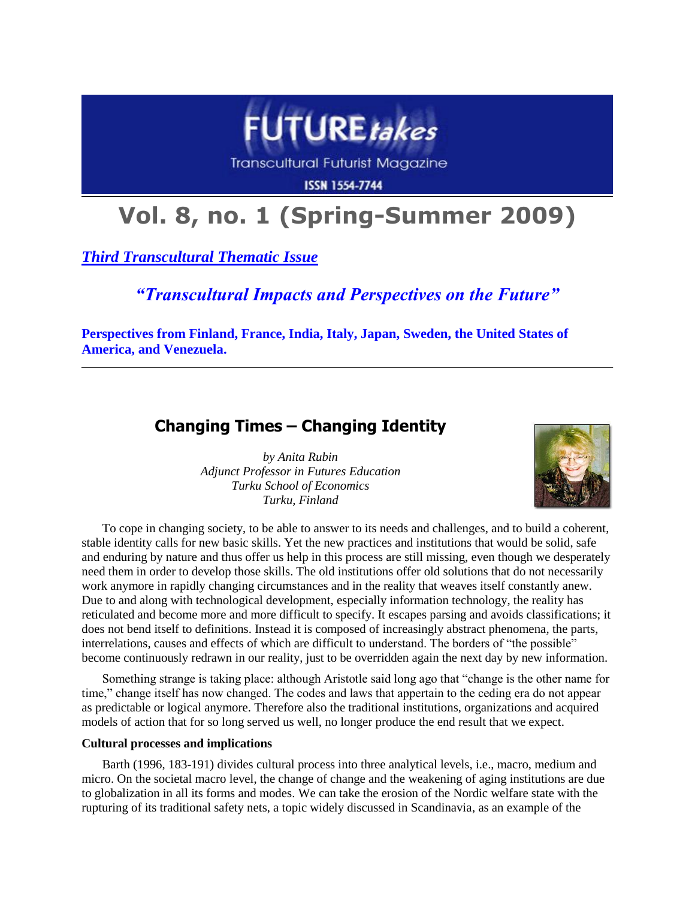

**Transcultural Futurist Magazine** 

**ISSN 1554-7744** 

# **Vol. 8, no. 1 (Spring-Summer 2009)**

*Third Transcultural Thematic Issue*

# *"Transcultural Impacts and Perspectives on the Future"*

**Perspectives from Finland, France, India, Italy, Japan, Sweden, the United States of America, and Venezuela.**

# **Changing Times – Changing Identity**

*by Anita Rubin Adjunct Professor in Futures Education Turku School of Economics Turku, Finland*



To cope in changing society, to be able to answer to its needs and challenges, and to build a coherent, stable identity calls for new basic skills. Yet the new practices and institutions that would be solid, safe and enduring by nature and thus offer us help in this process are still missing, even though we desperately need them in order to develop those skills. The old institutions offer old solutions that do not necessarily work anymore in rapidly changing circumstances and in the reality that weaves itself constantly anew. Due to and along with technological development, especially information technology, the reality has reticulated and become more and more difficult to specify. It escapes parsing and avoids classifications; it does not bend itself to definitions. Instead it is composed of increasingly abstract phenomena, the parts, interrelations, causes and effects of which are difficult to understand. The borders of "the possible" become continuously redrawn in our reality, just to be overridden again the next day by new information.

Something strange is taking place: although Aristotle said long ago that "change is the other name for time," change itself has now changed. The codes and laws that appertain to the ceding era do not appear as predictable or logical anymore. Therefore also the traditional institutions, organizations and acquired models of action that for so long served us well, no longer produce the end result that we expect.

### **Cultural processes and implications**

Barth (1996, 183-191) divides cultural process into three analytical levels, i.e., macro, medium and micro. On the societal macro level, the change of change and the weakening of aging institutions are due to globalization in all its forms and modes. We can take the erosion of the Nordic welfare state with the rupturing of its traditional safety nets, a topic widely discussed in Scandinavia, as an example of the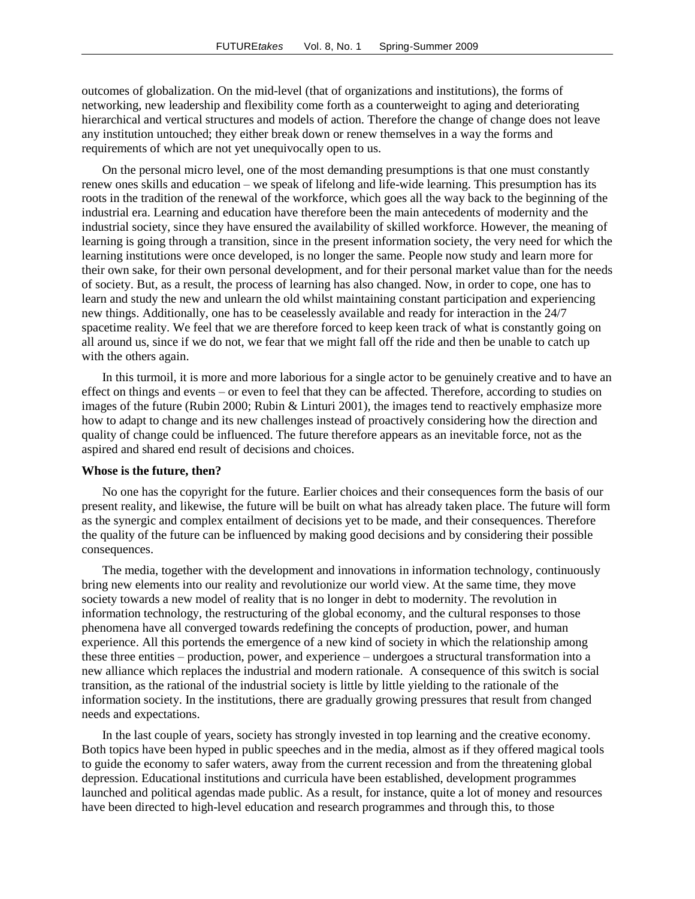outcomes of globalization. On the mid-level (that of organizations and institutions), the forms of networking, new leadership and flexibility come forth as a counterweight to aging and deteriorating hierarchical and vertical structures and models of action. Therefore the change of change does not leave any institution untouched; they either break down or renew themselves in a way the forms and requirements of which are not yet unequivocally open to us.

On the personal micro level, one of the most demanding presumptions is that one must constantly renew ones skills and education – we speak of lifelong and life-wide learning. This presumption has its roots in the tradition of the renewal of the workforce, which goes all the way back to the beginning of the industrial era. Learning and education have therefore been the main antecedents of modernity and the industrial society, since they have ensured the availability of skilled workforce. However, the meaning of learning is going through a transition, since in the present information society, the very need for which the learning institutions were once developed, is no longer the same. People now study and learn more for their own sake, for their own personal development, and for their personal market value than for the needs of society. But, as a result, the process of learning has also changed. Now, in order to cope, one has to learn and study the new and unlearn the old whilst maintaining constant participation and experiencing new things. Additionally, one has to be ceaselessly available and ready for interaction in the 24/7 spacetime reality. We feel that we are therefore forced to keep keen track of what is constantly going on all around us, since if we do not, we fear that we might fall off the ride and then be unable to catch up with the others again.

In this turmoil, it is more and more laborious for a single actor to be genuinely creative and to have an effect on things and events – or even to feel that they can be affected. Therefore, according to studies on images of the future (Rubin 2000; Rubin & Linturi 2001), the images tend to reactively emphasize more how to adapt to change and its new challenges instead of proactively considering how the direction and quality of change could be influenced. The future therefore appears as an inevitable force, not as the aspired and shared end result of decisions and choices.

#### **Whose is the future, then?**

No one has the copyright for the future. Earlier choices and their consequences form the basis of our present reality, and likewise, the future will be built on what has already taken place. The future will form as the synergic and complex entailment of decisions yet to be made, and their consequences. Therefore the quality of the future can be influenced by making good decisions and by considering their possible consequences.

The media, together with the development and innovations in information technology, continuously bring new elements into our reality and revolutionize our world view. At the same time, they move society towards a new model of reality that is no longer in debt to modernity. The revolution in information technology, the restructuring of the global economy, and the cultural responses to those phenomena have all converged towards redefining the concepts of production, power, and human experience. All this portends the emergence of a new kind of society in which the relationship among these three entities – production, power, and experience – undergoes a structural transformation into a new alliance which replaces the industrial and modern rationale. A consequence of this switch is social transition, as the rational of the industrial society is little by little yielding to the rationale of the information society. In the institutions, there are gradually growing pressures that result from changed needs and expectations.

In the last couple of years, society has strongly invested in top learning and the creative economy. Both topics have been hyped in public speeches and in the media, almost as if they offered magical tools to guide the economy to safer waters, away from the current recession and from the threatening global depression. Educational institutions and curricula have been established, development programmes launched and political agendas made public. As a result, for instance, quite a lot of money and resources have been directed to high-level education and research programmes and through this, to those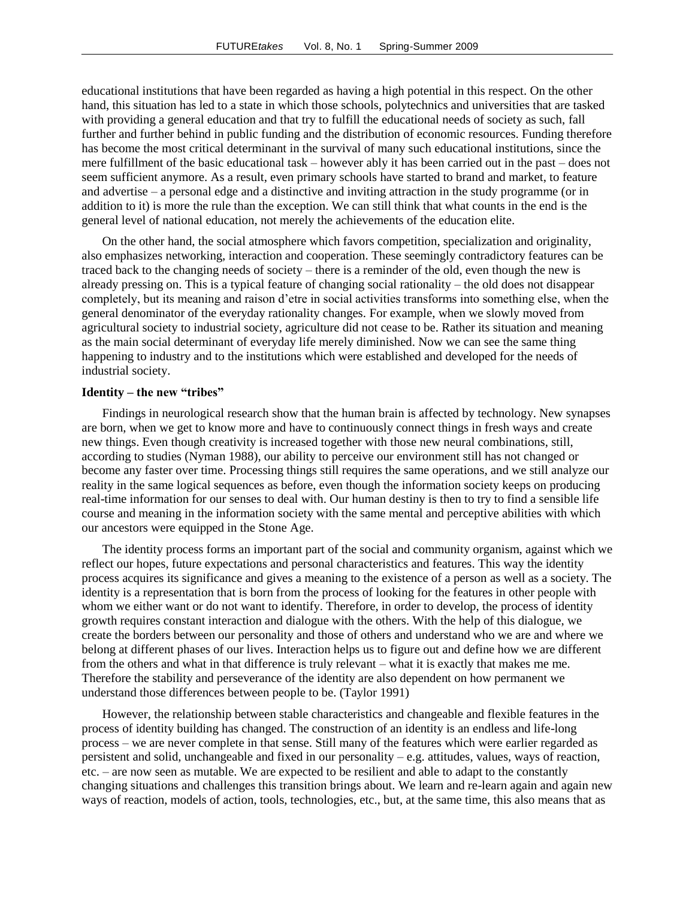educational institutions that have been regarded as having a high potential in this respect. On the other hand, this situation has led to a state in which those schools, polytechnics and universities that are tasked with providing a general education and that try to fulfill the educational needs of society as such, fall further and further behind in public funding and the distribution of economic resources. Funding therefore has become the most critical determinant in the survival of many such educational institutions, since the mere fulfillment of the basic educational task – however ably it has been carried out in the past – does not seem sufficient anymore. As a result, even primary schools have started to brand and market, to feature and advertise – a personal edge and a distinctive and inviting attraction in the study programme (or in addition to it) is more the rule than the exception. We can still think that what counts in the end is the general level of national education, not merely the achievements of the education elite.

On the other hand, the social atmosphere which favors competition, specialization and originality, also emphasizes networking, interaction and cooperation. These seemingly contradictory features can be traced back to the changing needs of society – there is a reminder of the old, even though the new is already pressing on. This is a typical feature of changing social rationality – the old does not disappear completely, but its meaning and raison d'etre in social activities transforms into something else, when the general denominator of the everyday rationality changes. For example, when we slowly moved from agricultural society to industrial society, agriculture did not cease to be. Rather its situation and meaning as the main social determinant of everyday life merely diminished. Now we can see the same thing happening to industry and to the institutions which were established and developed for the needs of industrial society.

#### **Identity – the new "tribes"**

Findings in neurological research show that the human brain is affected by technology. New synapses are born, when we get to know more and have to continuously connect things in fresh ways and create new things. Even though creativity is increased together with those new neural combinations, still, according to studies (Nyman 1988), our ability to perceive our environment still has not changed or become any faster over time. Processing things still requires the same operations, and we still analyze our reality in the same logical sequences as before, even though the information society keeps on producing real-time information for our senses to deal with. Our human destiny is then to try to find a sensible life course and meaning in the information society with the same mental and perceptive abilities with which our ancestors were equipped in the Stone Age.

The identity process forms an important part of the social and community organism, against which we reflect our hopes, future expectations and personal characteristics and features. This way the identity process acquires its significance and gives a meaning to the existence of a person as well as a society. The identity is a representation that is born from the process of looking for the features in other people with whom we either want or do not want to identify. Therefore, in order to develop, the process of identity growth requires constant interaction and dialogue with the others. With the help of this dialogue, we create the borders between our personality and those of others and understand who we are and where we belong at different phases of our lives. Interaction helps us to figure out and define how we are different from the others and what in that difference is truly relevant – what it is exactly that makes me me. Therefore the stability and perseverance of the identity are also dependent on how permanent we understand those differences between people to be. (Taylor 1991)

However, the relationship between stable characteristics and changeable and flexible features in the process of identity building has changed. The construction of an identity is an endless and life-long process – we are never complete in that sense. Still many of the features which were earlier regarded as persistent and solid, unchangeable and fixed in our personality – e.g. attitudes, values, ways of reaction, etc. – are now seen as mutable. We are expected to be resilient and able to adapt to the constantly changing situations and challenges this transition brings about. We learn and re-learn again and again new ways of reaction, models of action, tools, technologies, etc., but, at the same time, this also means that as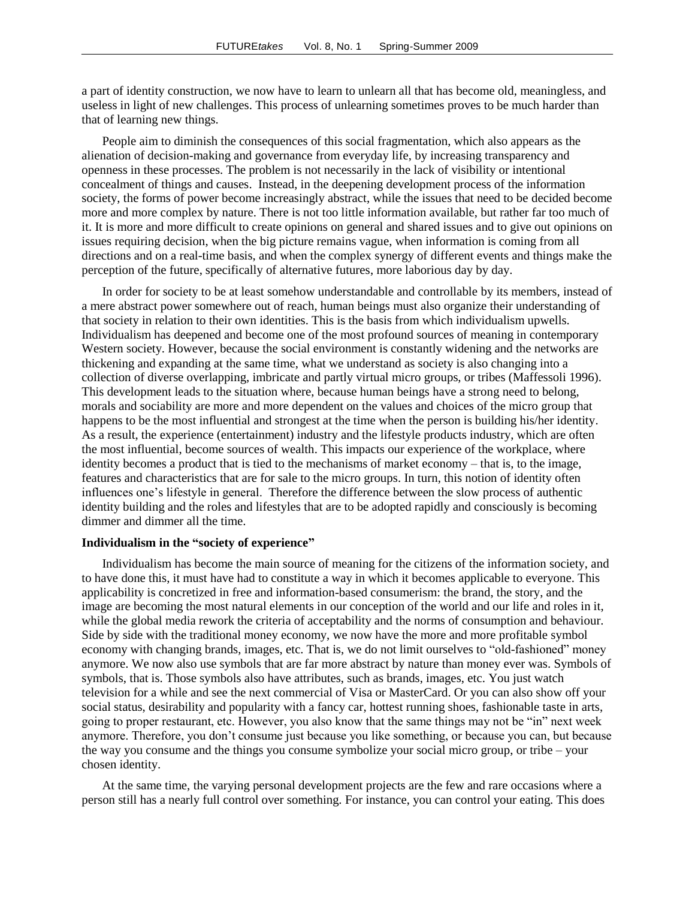a part of identity construction, we now have to learn to unlearn all that has become old, meaningless, and useless in light of new challenges. This process of unlearning sometimes proves to be much harder than that of learning new things.

People aim to diminish the consequences of this social fragmentation, which also appears as the alienation of decision-making and governance from everyday life, by increasing transparency and openness in these processes. The problem is not necessarily in the lack of visibility or intentional concealment of things and causes. Instead, in the deepening development process of the information society, the forms of power become increasingly abstract, while the issues that need to be decided become more and more complex by nature. There is not too little information available, but rather far too much of it. It is more and more difficult to create opinions on general and shared issues and to give out opinions on issues requiring decision, when the big picture remains vague, when information is coming from all directions and on a real-time basis, and when the complex synergy of different events and things make the perception of the future, specifically of alternative futures, more laborious day by day.

In order for society to be at least somehow understandable and controllable by its members, instead of a mere abstract power somewhere out of reach, human beings must also organize their understanding of that society in relation to their own identities. This is the basis from which individualism upwells. Individualism has deepened and become one of the most profound sources of meaning in contemporary Western society. However, because the social environment is constantly widening and the networks are thickening and expanding at the same time, what we understand as society is also changing into a collection of diverse overlapping, imbricate and partly virtual micro groups, or tribes (Maffessoli 1996). This development leads to the situation where, because human beings have a strong need to belong, morals and sociability are more and more dependent on the values and choices of the micro group that happens to be the most influential and strongest at the time when the person is building his/her identity. As a result, the experience (entertainment) industry and the lifestyle products industry, which are often the most influential, become sources of wealth. This impacts our experience of the workplace, where identity becomes a product that is tied to the mechanisms of market economy – that is, to the image, features and characteristics that are for sale to the micro groups. In turn, this notion of identity often influences one's lifestyle in general. Therefore the difference between the slow process of authentic identity building and the roles and lifestyles that are to be adopted rapidly and consciously is becoming dimmer and dimmer all the time.

#### **Individualism in the "society of experience"**

Individualism has become the main source of meaning for the citizens of the information society, and to have done this, it must have had to constitute a way in which it becomes applicable to everyone. This applicability is concretized in free and information-based consumerism: the brand, the story, and the image are becoming the most natural elements in our conception of the world and our life and roles in it, while the global media rework the criteria of acceptability and the norms of consumption and behaviour. Side by side with the traditional money economy, we now have the more and more profitable symbol economy with changing brands, images, etc. That is, we do not limit ourselves to "old-fashioned" money anymore. We now also use symbols that are far more abstract by nature than money ever was. Symbols of symbols, that is. Those symbols also have attributes, such as brands, images, etc. You just watch television for a while and see the next commercial of Visa or MasterCard. Or you can also show off your social status, desirability and popularity with a fancy car, hottest running shoes, fashionable taste in arts, going to proper restaurant, etc. However, you also know that the same things may not be "in" next week anymore. Therefore, you don't consume just because you like something, or because you can, but because the way you consume and the things you consume symbolize your social micro group, or tribe – your chosen identity.

At the same time, the varying personal development projects are the few and rare occasions where a person still has a nearly full control over something. For instance, you can control your eating. This does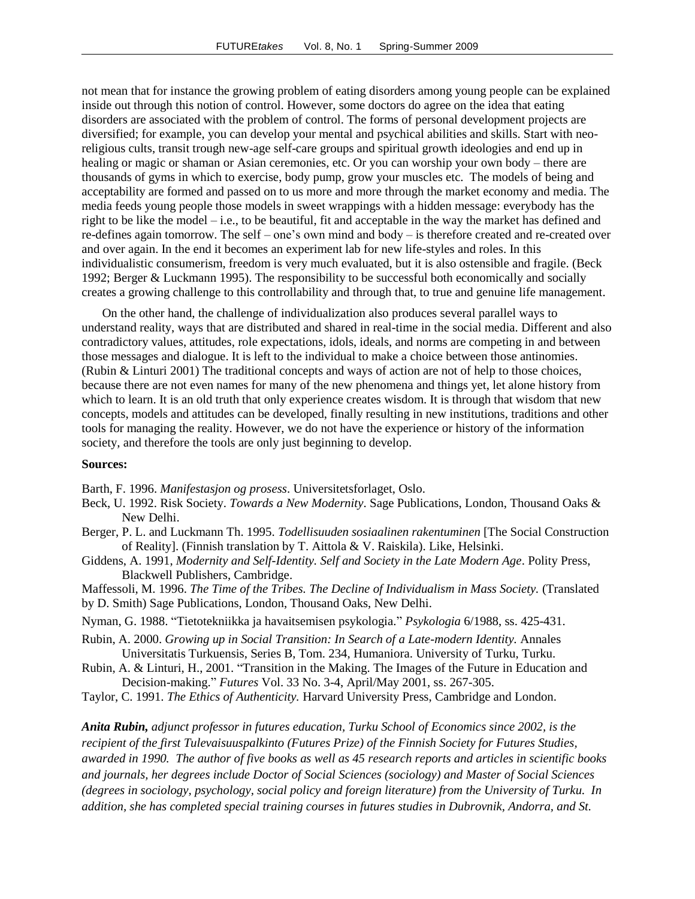not mean that for instance the growing problem of eating disorders among young people can be explained inside out through this notion of control. However, some doctors do agree on the idea that eating disorders are associated with the problem of control. The forms of personal development projects are diversified; for example, you can develop your mental and psychical abilities and skills. Start with neoreligious cults, transit trough new-age self-care groups and spiritual growth ideologies and end up in healing or magic or shaman or Asian ceremonies, etc. Or you can worship your own body – there are thousands of gyms in which to exercise, body pump, grow your muscles etc. The models of being and acceptability are formed and passed on to us more and more through the market economy and media. The media feeds young people those models in sweet wrappings with a hidden message: everybody has the right to be like the model – i.e., to be beautiful, fit and acceptable in the way the market has defined and re-defines again tomorrow. The self – one's own mind and body – is therefore created and re-created over and over again. In the end it becomes an experiment lab for new life-styles and roles. In this individualistic consumerism, freedom is very much evaluated, but it is also ostensible and fragile. (Beck 1992; Berger & Luckmann 1995). The responsibility to be successful both economically and socially creates a growing challenge to this controllability and through that, to true and genuine life management.

On the other hand, the challenge of individualization also produces several parallel ways to understand reality, ways that are distributed and shared in real-time in the social media. Different and also contradictory values, attitudes, role expectations, idols, ideals, and norms are competing in and between those messages and dialogue. It is left to the individual to make a choice between those antinomies. (Rubin & Linturi 2001) The traditional concepts and ways of action are not of help to those choices, because there are not even names for many of the new phenomena and things yet, let alone history from which to learn. It is an old truth that only experience creates wisdom. It is through that wisdom that new concepts, models and attitudes can be developed, finally resulting in new institutions, traditions and other tools for managing the reality. However, we do not have the experience or history of the information society, and therefore the tools are only just beginning to develop.

#### **Sources:**

Barth, F. 1996. *Manifestasjon og prosess*. Universitetsforlaget, Oslo.

- Beck, U. 1992. Risk Society. *Towards a New Modernity*. Sage Publications, London, Thousand Oaks & New Delhi.
- Berger, P. L. and Luckmann Th. 1995. *Todellisuuden sosiaalinen rakentuminen* [The Social Construction of Reality]. (Finnish translation by T. Aittola & V. Raiskila). Like, Helsinki.
- Giddens, A. 1991, *Modernity and Self-Identity. Self and Society in the Late Modern Age*. Polity Press, Blackwell Publishers, Cambridge.
- Maffessoli, M. 1996. *The Time of the Tribes. The Decline of Individualism in Mass Society.* (Translated by D. Smith) Sage Publications, London, Thousand Oaks, New Delhi.
- Nyman, G. 1988. "Tietotekniikka ja havaitsemisen psykologia." *Psykologia* 6/1988, ss. 425-431.
- Rubin, A. 2000. *Growing up in Social Transition: In Search of a Late-modern Identity.* Annales Universitatis Turkuensis, Series B, Tom. 234, Humaniora. University of Turku, Turku.
- Rubin, A. & Linturi, H., 2001. "Transition in the Making. The Images of the Future in Education and Decision-making." *Futures* Vol. 33 No. 3-4, April/May 2001, ss. 267-305.
- Taylor, C. 1991. *The Ethics of Authenticity.* Harvard University Press, Cambridge and London.

*Anita Rubin, adjunct professor in futures education, Turku School of Economics since 2002, is the recipient of the first Tulevaisuuspalkinto (Futures Prize) of the Finnish Society for Futures Studies, awarded in 1990. The author of five books as well as 45 research reports and articles in scientific books and journals, her degrees include Doctor of Social Sciences (sociology) and Master of Social Sciences (degrees in sociology, psychology, social policy and foreign literature) from the University of Turku. In addition, she has completed special training courses in futures studies in Dubrovnik, Andorra, and St.*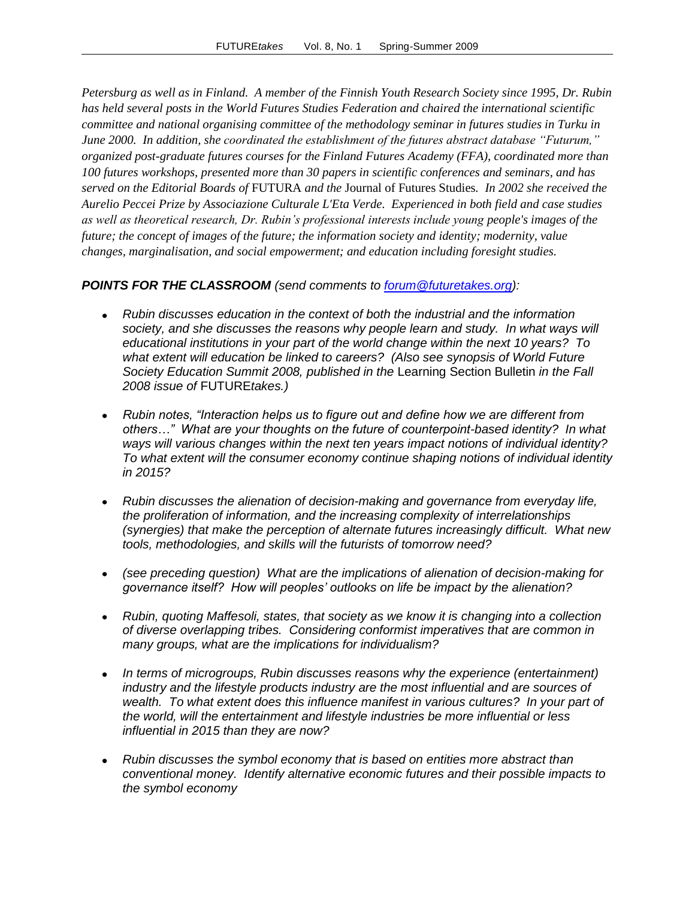*Petersburg as well as in Finland. A member of the Finnish Youth Research Society since 1995, Dr. Rubin has held several posts in the World Futures Studies Federation and chaired the international scientific committee and national organising committee of the methodology seminar in futures studies in Turku in June 2000. In addition, she coordinated the establishment of the futures abstract database "Futurum," organized post-graduate futures courses for the Finland Futures Academy (FFA), coordinated more than 100 futures workshops, presented more than 30 papers in scientific conferences and seminars, and has served on the Editorial Boards of* FUTURA *and the* Journal of Futures Studies*. In 2002 she received the Aurelio Peccei Prize by Associazione Culturale L'Eta Verde. Experienced in both field and case studies as well as theoretical research, Dr. Rubin's professional interests include young people's images of the future; the concept of images of the future; the information society and identity; modernity, value changes, marginalisation, and social empowerment; and education including foresight studies.*

### *POINTS FOR THE CLASSROOM (send comments to [forum@futuretakes.org\)](mailto:forum@futuretakes.org):*

- *Rubin discusses education in the context of both the industrial and the information society, and she discusses the reasons why people learn and study. In what ways will educational institutions in your part of the world change within the next 10 years? To what extent will education be linked to careers? (Also see synopsis of World Future Society Education Summit 2008, published in the* Learning Section Bulletin *in the Fall 2008 issue of* FUTURE*takes.)*
- *Rubin notes, "Interaction helps us to figure out and define how we are different from others…" What are your thoughts on the future of counterpoint-based identity? In what ways will various changes within the next ten years impact notions of individual identity? To what extent will the consumer economy continue shaping notions of individual identity in 2015?*
- *Rubin discusses the alienation of decision-making and governance from everyday life, the proliferation of information, and the increasing complexity of interrelationships (synergies) that make the perception of alternate futures increasingly difficult. What new tools, methodologies, and skills will the futurists of tomorrow need?*
- *(see preceding question) What are the implications of alienation of decision-making for governance itself? How will peoples' outlooks on life be impact by the alienation?*
- *Rubin, quoting Maffesoli, states, that society as we know it is changing into a collection of diverse overlapping tribes. Considering conformist imperatives that are common in many groups, what are the implications for individualism?*
- *In terms of microgroups, Rubin discusses reasons why the experience (entertainment) industry and the lifestyle products industry are the most influential and are sources of*  wealth. To what extent does this influence manifest in various cultures? In your part of *the world, will the entertainment and lifestyle industries be more influential or less influential in 2015 than they are now?*
- *Rubin discusses the symbol economy that is based on entities more abstract than conventional money. Identify alternative economic futures and their possible impacts to the symbol economy*